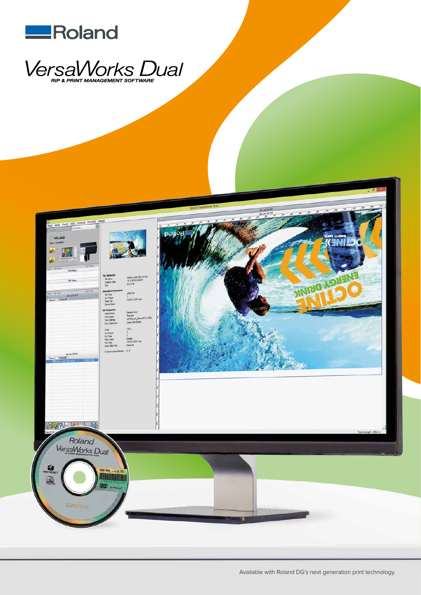





Available with Roland DG's next generation print technology.